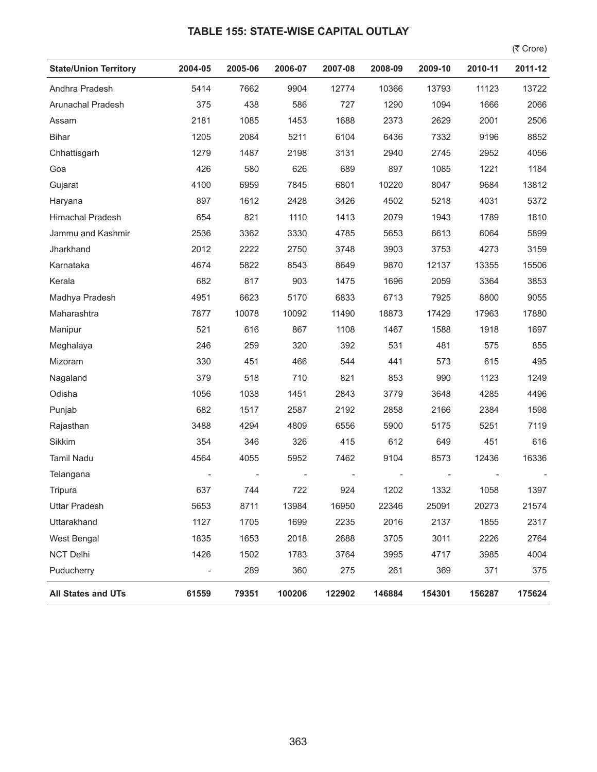## **TABLE 155: STATE-WISE CAPITAL OUTLAY**

 $($ ₹ Crore)

| <b>State/Union Territory</b> | 2004-05                  | 2005-06 | 2006-07 | 2007-08 | 2008-09 | 2009-10 | 2010-11 | 2011-12 |
|------------------------------|--------------------------|---------|---------|---------|---------|---------|---------|---------|
| Andhra Pradesh               | 5414                     | 7662    | 9904    | 12774   | 10366   | 13793   | 11123   | 13722   |
| Arunachal Pradesh            | 375                      | 438     | 586     | 727     | 1290    | 1094    | 1666    | 2066    |
| Assam                        | 2181                     | 1085    | 1453    | 1688    | 2373    | 2629    | 2001    | 2506    |
| <b>Bihar</b>                 | 1205                     | 2084    | 5211    | 6104    | 6436    | 7332    | 9196    | 8852    |
| Chhattisgarh                 | 1279                     | 1487    | 2198    | 3131    | 2940    | 2745    | 2952    | 4056    |
| Goa                          | 426                      | 580     | 626     | 689     | 897     | 1085    | 1221    | 1184    |
| Gujarat                      | 4100                     | 6959    | 7845    | 6801    | 10220   | 8047    | 9684    | 13812   |
| Haryana                      | 897                      | 1612    | 2428    | 3426    | 4502    | 5218    | 4031    | 5372    |
| Himachal Pradesh             | 654                      | 821     | 1110    | 1413    | 2079    | 1943    | 1789    | 1810    |
| Jammu and Kashmir            | 2536                     | 3362    | 3330    | 4785    | 5653    | 6613    | 6064    | 5899    |
| Jharkhand                    | 2012                     | 2222    | 2750    | 3748    | 3903    | 3753    | 4273    | 3159    |
| Karnataka                    | 4674                     | 5822    | 8543    | 8649    | 9870    | 12137   | 13355   | 15506   |
| Kerala                       | 682                      | 817     | 903     | 1475    | 1696    | 2059    | 3364    | 3853    |
| Madhya Pradesh               | 4951                     | 6623    | 5170    | 6833    | 6713    | 7925    | 8800    | 9055    |
| Maharashtra                  | 7877                     | 10078   | 10092   | 11490   | 18873   | 17429   | 17963   | 17880   |
| Manipur                      | 521                      | 616     | 867     | 1108    | 1467    | 1588    | 1918    | 1697    |
| Meghalaya                    | 246                      | 259     | 320     | 392     | 531     | 481     | 575     | 855     |
| Mizoram                      | 330                      | 451     | 466     | 544     | 441     | 573     | 615     | 495     |
| Nagaland                     | 379                      | 518     | 710     | 821     | 853     | 990     | 1123    | 1249    |
| Odisha                       | 1056                     | 1038    | 1451    | 2843    | 3779    | 3648    | 4285    | 4496    |
| Punjab                       | 682                      | 1517    | 2587    | 2192    | 2858    | 2166    | 2384    | 1598    |
| Rajasthan                    | 3488                     | 4294    | 4809    | 6556    | 5900    | 5175    | 5251    | 7119    |
| Sikkim                       | 354                      | 346     | 326     | 415     | 612     | 649     | 451     | 616     |
| <b>Tamil Nadu</b>            | 4564                     | 4055    | 5952    | 7462    | 9104    | 8573    | 12436   | 16336   |
| Telangana                    |                          |         |         |         |         |         |         |         |
| Tripura                      | 637                      | 744     | 722     | 924     | 1202    | 1332    | 1058    | 1397    |
| <b>Uttar Pradesh</b>         | 5653                     | 8711    | 13984   | 16950   | 22346   | 25091   | 20273   | 21574   |
| Uttarakhand                  | 1127                     | 1705    | 1699    | 2235    | 2016    | 2137    | 1855    | 2317    |
| <b>West Bengal</b>           | 1835                     | 1653    | 2018    | 2688    | 3705    | 3011    | 2226    | 2764    |
| <b>NCT Delhi</b>             | 1426                     | 1502    | 1783    | 3764    | 3995    | 4717    | 3985    | 4004    |
| Puducherry                   | $\overline{\phantom{a}}$ | 289     | 360     | 275     | 261     | 369     | 371     | 375     |
| <b>All States and UTs</b>    | 61559                    | 79351   | 100206  | 122902  | 146884  | 154301  | 156287  | 175624  |